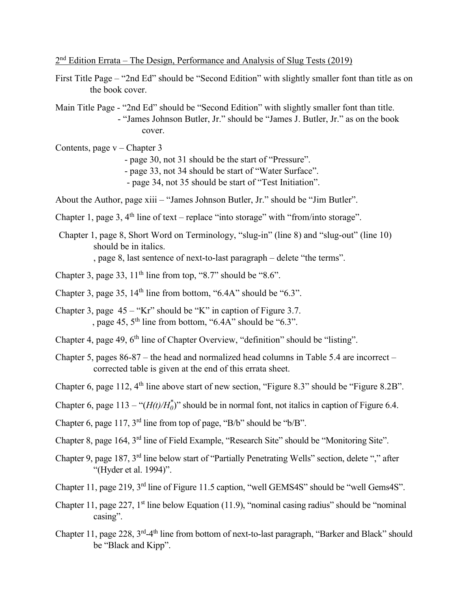$2<sup>nd</sup>$  Edition Errata – The Design, Performance and Analysis of Slug Tests (2019)

First Title Page – "2nd Ed" should be "Second Edition" with slightly smaller font than title as on the book cover.

Main Title Page - "2nd Ed" should be "Second Edition" with slightly smaller font than title. - "James Johnson Butler, Jr." should be "James J. Butler, Jr." as on the book cover.

Contents, page v – Chapter 3 - page 30, not 31 should be the start of "Pressure". - page 33, not 34 should be start of "Water Surface". - page 34, not 35 should be start of "Test Initiation".

About the Author, page xiii – "James Johnson Butler, Jr." should be "Jim Butler".

Chapter 1, page 3,  $4<sup>th</sup>$  line of text – replace "into storage" with "from/into storage".

Chapter 1, page 8, Short Word on Terminology, "slug-in" (line 8) and "slug-out" (line 10) should be in italics. , page 8, last sentence of next-to-last paragraph – delete "the terms".

- Chapter 3, page 33,  $11<sup>th</sup>$  line from top, "8.7" should be "8.6".
- Chapter 3, page 35,  $14<sup>th</sup>$  line from bottom, "6.4A" should be "6.3".
- Chapter 3, page  $45 "Kr"$  should be "K" in caption of Figure 3.7. , page 45,  $5<sup>th</sup>$  line from bottom, "6.4A" should be "6.3".
- Chapter 4, page 49, 6<sup>th</sup> line of Chapter Overview, "definition" should be "listing".
- Chapter 5, pages 86-87 the head and normalized head columns in Table 5.4 are incorrect corrected table is given at the end of this errata sheet.
- Chapter 6, page 112, 4<sup>th</sup> line above start of new section, "Figure 8.3" should be "Figure 8.2B".

Chapter 6, page  $113 - "(\mathcal{H}(t)/\mathcal{H}_0^*)$ " should be in normal font, not italics in caption of Figure 6.4.

- Chapter 6, page 117, 3rd line from top of page, "B/b" should be "b/B".
- Chapter 8, page 164, 3rd line of Field Example, "Research Site" should be "Monitoring Site".
- Chapter 9, page 187, 3rd line below start of "Partially Penetrating Wells" section, delete "," after "(Hyder et al. 1994)".
- Chapter 11, page 219, 3rd line of Figure 11.5 caption, "well GEMS4S" should be "well Gems4S".
- Chapter 11, page 227,  $1<sup>st</sup>$  line below Equation (11.9), "nominal casing radius" should be "nominal casing".
- Chapter 11, page 228, 3<sup>rd</sup>-4<sup>th</sup> line from bottom of next-to-last paragraph, "Barker and Black" should be "Black and Kipp".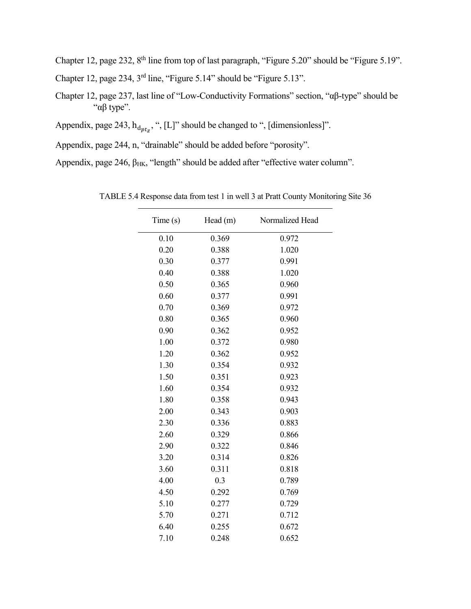Chapter 12, page 232, 8<sup>th</sup> line from top of last paragraph, "Figure 5.20" should be "Figure 5.19".

Chapter 12, page 234, 3rd line, "Figure 5.14" should be "Figure 5.13".

- Chapter 12, page 237, last line of "Low-Conductivity Formations" section, "αβ-type" should be "αβ type".
- Appendix, page 243,  $h_{dptz}$ , ", [L]" should be changed to ", [dimensionless]".
- Appendix, page 244, n, "drainable" should be added before "porosity".

Appendix, page 246,  $\beta$ <sub>HK</sub>, "length" should be added after "effective water column".

| Time(s) | Head(m) | Normalized Head |
|---------|---------|-----------------|
| 0.10    | 0.369   | 0.972           |
| 0.20    | 0.388   | 1.020           |
| 0.30    | 0.377   | 0.991           |
| 0.40    | 0.388   | 1.020           |
| 0.50    | 0.365   | 0.960           |
| 0.60    | 0.377   | 0.991           |
| 0.70    | 0.369   | 0.972           |
| 0.80    | 0.365   | 0.960           |
| 0.90    | 0.362   | 0.952           |
| 1.00    | 0.372   | 0.980           |
| 1.20    | 0.362   | 0.952           |
| 1.30    | 0.354   | 0.932           |
| 1.50    | 0.351   | 0.923           |
| 1.60    | 0.354   | 0.932           |
| 1.80    | 0.358   | 0.943           |
| 2.00    | 0.343   | 0.903           |
| 2.30    | 0.336   | 0.883           |
| 2.60    | 0.329   | 0.866           |
| 2.90    | 0.322   | 0.846           |
| 3.20    | 0.314   | 0.826           |
| 3.60    | 0.311   | 0.818           |
| 4.00    | 0.3     | 0.789           |
| 4.50    | 0.292   | 0.769           |
| 5.10    | 0.277   | 0.729           |
| 5.70    | 0.271   | 0.712           |
| 6.40    | 0.255   | 0.672           |
| 7.10    | 0.248   | 0.652           |

TABLE 5.4 Response data from test 1 in well 3 at Pratt County Monitoring Site 36